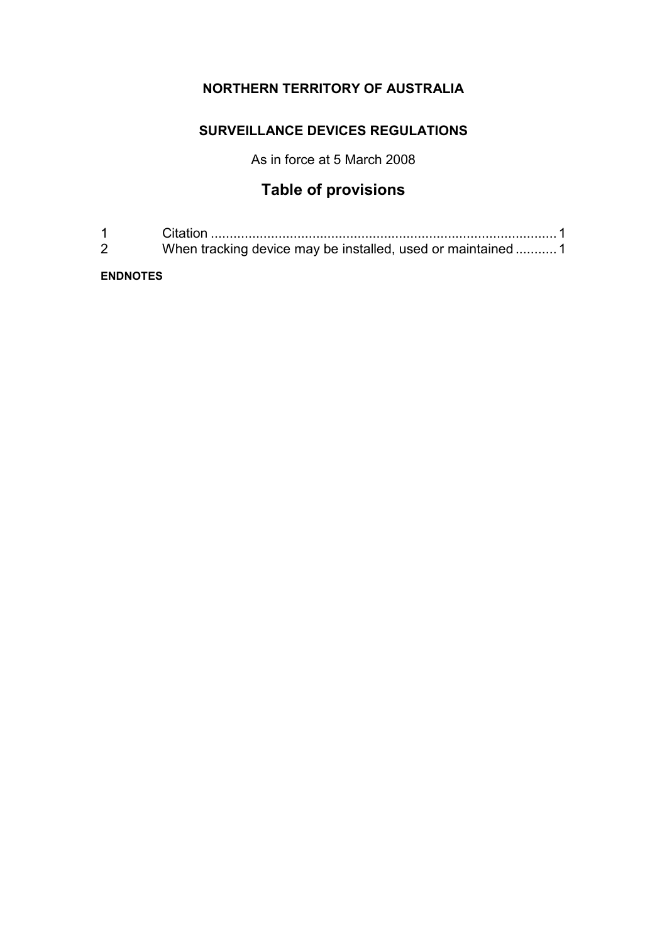# **NORTHERN TERRITORY OF AUSTRALIA**

## **SURVEILLANCE DEVICES REGULATIONS**

As in force at 5 March 2008

# **Table of provisions**

| $1 \quad \blacksquare$ |                                                              |  |
|------------------------|--------------------------------------------------------------|--|
| $\sim$                 | When tracking device may be installed, used or maintained  1 |  |

**ENDNOTES**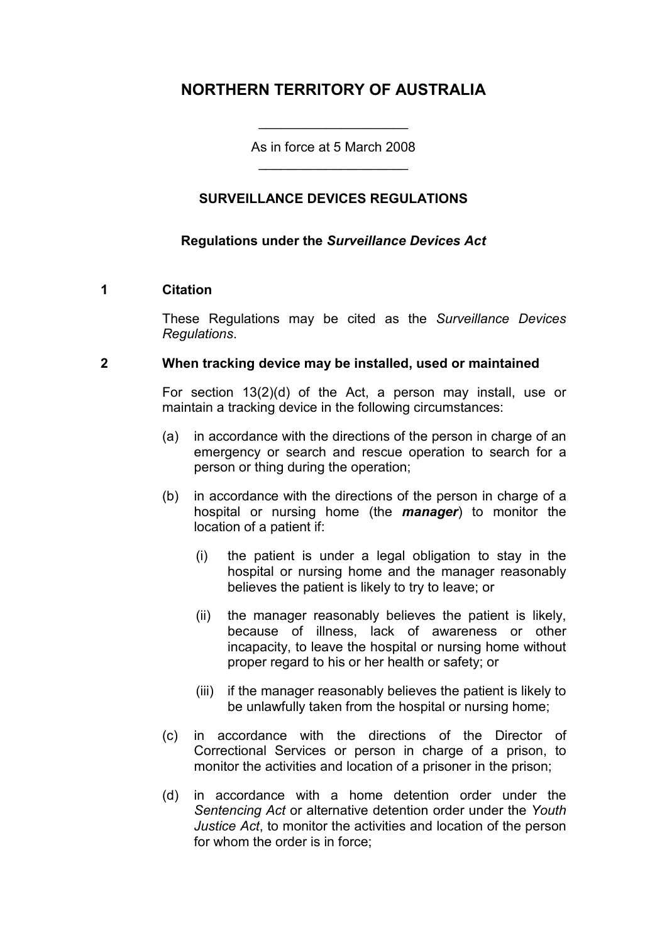# **NORTHERN TERRITORY OF AUSTRALIA**

As in force at 5 March 2008 \_\_\_\_\_\_\_\_\_\_\_\_\_\_\_\_\_\_\_\_

\_\_\_\_\_\_\_\_\_\_\_\_\_\_\_\_\_\_\_\_

## **SURVEILLANCE DEVICES REGULATIONS**

#### **Regulations under the** *Surveillance Devices Act*

#### **1 Citation**

These Regulations may be cited as the *Surveillance Devices Regulations*.

#### **2 When tracking device may be installed, used or maintained**

For section 13(2)(d) of the Act, a person may install, use or maintain a tracking device in the following circumstances:

- (a) in accordance with the directions of the person in charge of an emergency or search and rescue operation to search for a person or thing during the operation;
- (b) in accordance with the directions of the person in charge of a hospital or nursing home (the *manager*) to monitor the location of a patient if:
	- (i) the patient is under a legal obligation to stay in the hospital or nursing home and the manager reasonably believes the patient is likely to try to leave; or
	- (ii) the manager reasonably believes the patient is likely, because of illness, lack of awareness or other incapacity, to leave the hospital or nursing home without proper regard to his or her health or safety; or
	- (iii) if the manager reasonably believes the patient is likely to be unlawfully taken from the hospital or nursing home;
- (c) in accordance with the directions of the Director of Correctional Services or person in charge of a prison, to monitor the activities and location of a prisoner in the prison;
- (d) in accordance with a home detention order under the *Sentencing Act* or alternative detention order under the *Youth Justice Act*, to monitor the activities and location of the person for whom the order is in force;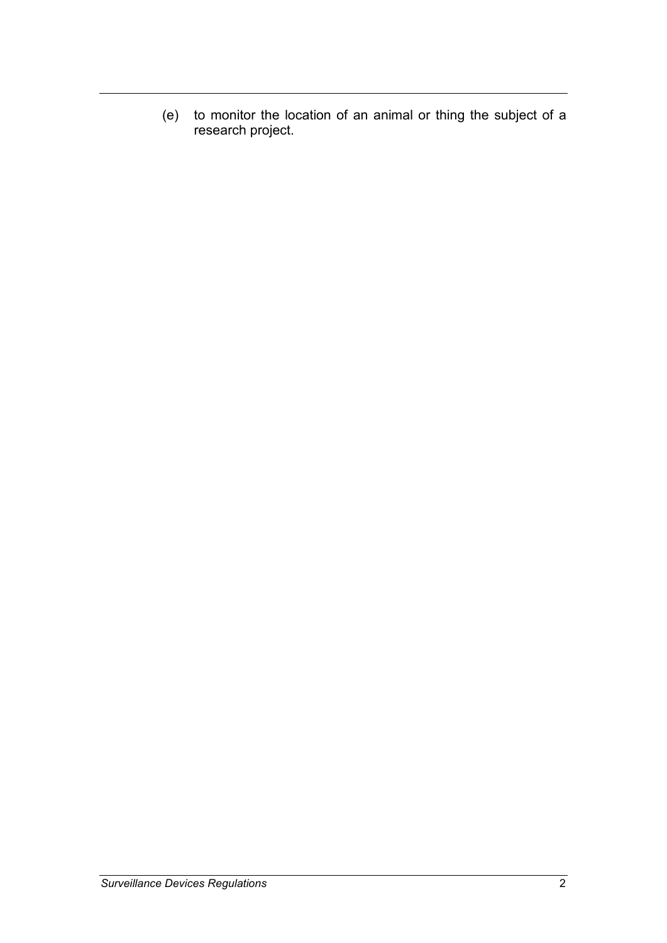(e) to monitor the location of an animal or thing the subject of a research project.